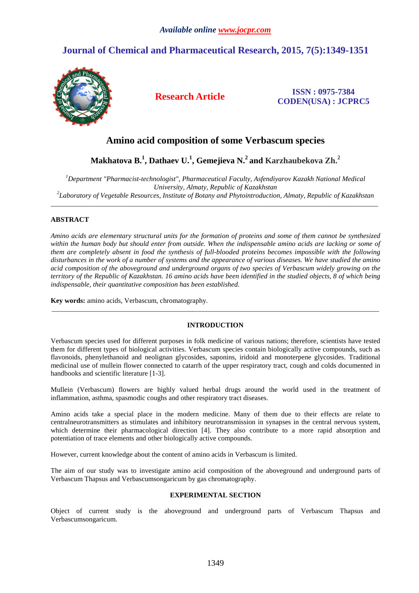# **Journal of Chemical and Pharmaceutical Research, 2015, 7(5):1349-1351**



**Research Article ISSN : 0975-7384 CODEN(USA) : JCPRC5**

## **Amino acid composition of some Verbascum species**

**Makhatova B.<sup>1</sup> , Dathaev U.<sup>1</sup> , Gemejieva N.<sup>2</sup>and Karzhaubekova Zh.<sup>2</sup>**

*<sup>1</sup>Department "Pharmacist-technologist", Pharmaceutical Faculty, Asfendiyarov Kazakh National Medical University, Almaty, Republic of Kazakhstan 2 Laboratory of Vegetable Resources, Institute of Botany and Phytointroduction, Almaty, Republic of Kazakhstan* 

\_\_\_\_\_\_\_\_\_\_\_\_\_\_\_\_\_\_\_\_\_\_\_\_\_\_\_\_\_\_\_\_\_\_\_\_\_\_\_\_\_\_\_\_\_\_\_\_\_\_\_\_\_\_\_\_\_\_\_\_\_\_\_\_\_\_\_\_\_\_\_\_\_\_\_\_\_\_\_\_\_\_\_\_\_\_\_\_\_\_\_\_\_

### **ABSTRACT**

*Amino acids are elementary structural units for the formation of proteins and some of them cannot be synthesized*  within the human body but should enter from outside. When the indispensable amino acids are lacking or some of *them are completely absent in food the synthesis of full-blooded proteins becomes impossible with the following disturbances in the work of a number of systems and the appearance of various diseases. We have studied the amino acid composition of the aboveground and underground organs of two species of Verbascum widely growing on the territory of the Republic of Kazakhstan. 16 amino acids have been identified in the studied objects, 8 of which being indispensable, their quantitative composition has been established.* 

**Key words:** amino acids, Verbascum, chromatography.

#### **INTRODUCTION**

\_\_\_\_\_\_\_\_\_\_\_\_\_\_\_\_\_\_\_\_\_\_\_\_\_\_\_\_\_\_\_\_\_\_\_\_\_\_\_\_\_\_\_\_\_\_\_\_\_\_\_\_\_\_\_\_\_\_\_\_\_\_\_\_\_\_\_\_\_\_\_\_\_\_\_\_\_\_\_\_\_\_\_\_\_\_\_\_\_\_\_\_\_

Verbascum species used for different purposes in folk medicine of various nations; therefore, scientists have tested them for different types of biological activities. Verbascum species contain biologically active compounds, such as flavonoids, phenylethanoid and neolignan glycosides, saponins, iridoid and monoterpene glycosides. Traditional medicinal use of mullein flower connected to catarrh of the upper respiratory tract, cough and colds documented in handbooks and scientific literature [1-3].

Mullein (Verbascum) flowers are highly valued herbal drugs around the world used in the treatment of inflammation, asthma, spasmodic coughs and other respiratory tract diseases.

Amino acids take a special place in the modern medicine. Many of them due to their effects are relate to centralneurotransmitters as stimulates and inhibitory neurotransmission in synapses in the central nervous system, which determine their pharmacological direction [4]. They also contribute to a more rapid absorption and potentiation of trace elements and other biologically active compounds.

However, current knowledge about the content of amino acids in Verbascum is limited.

The aim of our study was to investigate amino acid composition of the aboveground and underground parts of Verbascum Thapsus and Verbascumsongaricum by gas chromatography.

#### **EXPERIMENTAL SECTION**

Object of current study is the aboveground and underground parts of Verbascum Thapsus and Verbascumsongaricum.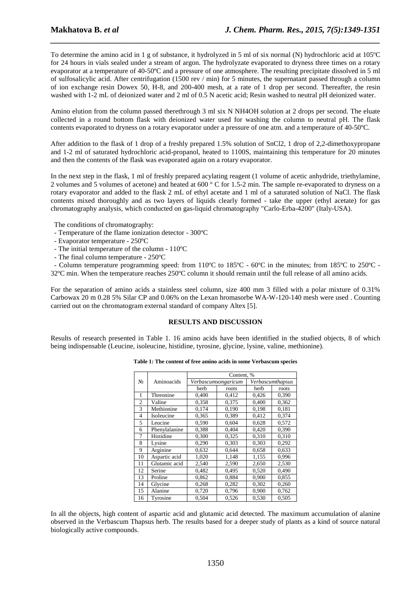To determine the amino acid in 1 g of substance, it hydrolyzed in 5 ml of six normal (N) hydrochloric acid at 105ºC for 24 hours in vials sealed under a stream of argon. The hydrolyzate evaporated to dryness three times on a rotary evaporator at a temperature of 40-50ºC and a pressure of one atmosphere. The resulting precipitate dissolved in 5 ml of sulfosalicylic acid. After centrifugation (1500 rev / min) for 5 minutes, the supernatant passed through a column of ion exchange resin Dowex 50, H-8, and 200-400 mesh, at a rate of 1 drop per second. Thereafter, the resin washed with 1-2 mL of deionized water and 2 ml of 0.5 N acetic acid; Resin washed to neutral pH deionized water.

*\_\_\_\_\_\_\_\_\_\_\_\_\_\_\_\_\_\_\_\_\_\_\_\_\_\_\_\_\_\_\_\_\_\_\_\_\_\_\_\_\_\_\_\_\_\_\_\_\_\_\_\_\_\_\_\_\_\_\_\_\_\_\_\_\_\_\_\_\_\_\_\_\_\_\_\_\_\_*

Amino elution from the column passed therethrough 3 ml six N NH4OH solution at 2 drops per second. The eluate collected in a round bottom flask with deionized water used for washing the column to neutral pH. The flask contents evaporated to dryness on a rotary evaporator under a pressure of one atm. and a temperature of 40-50ºC.

After addition to the flask of 1 drop of a freshly prepared 1.5% solution of SnCl2, 1 drop of 2,2-dimethoxypropane and 1-2 ml of saturated hydrochloric acid-propanol, heated to 1100S, maintaining this temperature for 20 minutes and then the contents of the flask was evaporated again on a rotary evaporator.

In the next step in the flask, 1 ml of freshly prepared acylating reagent (1 volume of acetic anhydride, triethylamine, 2 volumes and 5 volumes of acetone) and heated at 600 ° C for 1.5-2 min. The sample re-evaporated to dryness on a rotary evaporator and added to the flask 2 mL of ethyl acetate and 1 ml of a saturated solution of NaCl. The flask contents mixed thoroughly and as two layers of liquids clearly formed - take the upper (ethyl acetate) for gas chromatography analysis, which conducted on gas-liquid chromatography "Carlo-Erba-4200" (Italy-USA).

The conditions of chromatography:

- Temperature of the flame ionization detector 300ºC
- Evaporator temperature 250ºC
- The initial temperature of the column 110ºC
- The final column temperature 250ºC

 - Column temperature programming speed: from 110ºC to 185ºC - 60ºC in the minutes; from 185ºC to 250ºC - 32ºC min. When the temperature reaches 250ºC column it should remain until the full release of all amino acids.

For the separation of amino acids a stainless steel column, size 400 mm 3 filled with a polar mixture of 0.31% Carbowax 20 m 0.28 5% Silar CP and 0.06% on the Lexan hromasorbe WA-W-120-140 mesh were used . Counting carried out on the chromatogram external standard of company Altex [5].

#### **RESULTS AND DISCUSSION**

Results of research presented in Table 1. 16 amino acids have been identified in the studied objects, 8 of which being indispensable (Leucine, isoleucine, histidine, tyrosine, glycine, lysine, valine, methionine).

|                | Aminoacids    | Content, %                              |       |       |       |
|----------------|---------------|-----------------------------------------|-------|-------|-------|
| No.            |               | Verbascumthapsus<br>Verbascumsongaricum |       |       |       |
|                |               |                                         |       |       |       |
|                |               | herb                                    | roots | herb  | roots |
| 1              | Threonine     | 0,400                                   | 0,412 | 0,426 | 0,390 |
| $\overline{c}$ | Valine        | 0,358                                   | 0,375 | 0,400 | 0,362 |
| 3              | Methionine    | 0,174                                   | 0,190 | 0,198 | 0,181 |
| 4              | Isoleucine    | 0,365                                   | 0.389 | 0.412 | 0.374 |
| 5              | Leucine       | 0,590                                   | 0,604 | 0,628 | 0,572 |
| 6              | Phenylalanine | 0,388                                   | 0,404 | 0,420 | 0,390 |
| 7              | Histidine     | 0,300                                   | 0,325 | 0,310 | 0,310 |
| 8              | Lysine        | 0,290                                   | 0,303 | 0,303 | 0,292 |
| 9              | Arginine      | 0,632                                   | 0,644 | 0,658 | 0,633 |
| 10             | Aspartic acid | 1,020                                   | 1,148 | 1,155 | 0,996 |
| 11             | Glutamic acid | 2,540                                   | 2,590 | 2,650 | 2,530 |
| 12             | Serine        | 0,482                                   | 0,495 | 0,520 | 0,490 |
| 13             | Proline       | 0,862                                   | 0,884 | 0,900 | 0,855 |
| 14             | Glycine       | 0,268                                   | 0,282 | 0,302 | 0,260 |
| 15             | Alanine       | 0,720                                   | 0,796 | 0,900 | 0,762 |
| 16             | Tyrosine      | 0,504                                   | 0,526 | 0,530 | 0,505 |

**Table 1: The content of free amino acids in some Verbascum species** 

In all the objects, high content of aspartic acid and glutamic acid detected. The maximum accumulation of alanine observed in the Verbascum Thapsus herb. The results based for a deeper study of plants as a kind of source natural biologically active compounds.